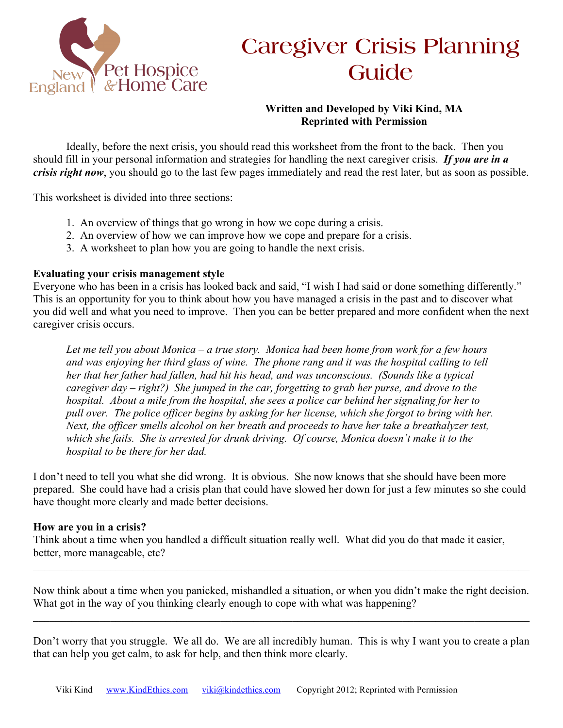

# **Caregiver Crisis Planning Guide**

## **Written and Developed by Viki Kind, MA Reprinted with Permission**

Ideally, before the next crisis, you should read this worksheet from the front to the back. Then you should fill in your personal information and strategies for handling the next caregiver crisis. *If you are in a crisis right now*, you should go to the last few pages immediately and read the rest later, but as soon as possible.

This worksheet is divided into three sections:

- 1. An overview of things that go wrong in how we cope during a crisis.
- 2. An overview of how we can improve how we cope and prepare for a crisis.
- 3. A worksheet to plan how you are going to handle the next crisis.

#### **Evaluating your crisis management style**

Everyone who has been in a crisis has looked back and said, "I wish I had said or done something differently." This is an opportunity for you to think about how you have managed a crisis in the past and to discover what you did well and what you need to improve. Then you can be better prepared and more confident when the next caregiver crisis occurs.

*Let me tell you about Monica – a true story. Monica had been home from work for a few hours and was enjoying her third glass of wine. The phone rang and it was the hospital calling to tell her that her father had fallen, had hit his head, and was unconscious. (Sounds like a typical caregiver day – right?) She jumped in the car, forgetting to grab her purse, and drove to the hospital. About a mile from the hospital, she sees a police car behind her signaling for her to pull over. The police officer begins by asking for her license, which she forgot to bring with her. Next, the officer smells alcohol on her breath and proceeds to have her take a breathalyzer test, which she fails. She is arrested for drunk driving. Of course, Monica doesn't make it to the hospital to be there for her dad.*

I don't need to tell you what she did wrong. It is obvious. She now knows that she should have been more prepared. She could have had a crisis plan that could have slowed her down for just a few minutes so she could have thought more clearly and made better decisions.

#### **How are you in a crisis?**

Think about a time when you handled a difficult situation really well. What did you do that made it easier, better, more manageable, etc?

Now think about a time when you panicked, mishandled a situation, or when you didn't make the right decision. What got in the way of you thinking clearly enough to cope with what was happening?

 $\_$  , and the contribution of the contribution of the contribution of the contribution of the contribution of  $\mathcal{L}_\text{max}$ 

 $\_$  , and the contribution of the contribution of the contribution of the contribution of the contribution of  $\mathcal{L}_\text{max}$ 

Don't worry that you struggle. We all do. We are all incredibly human. This is why I want you to create a plan that can help you get calm, to ask for help, and then think more clearly.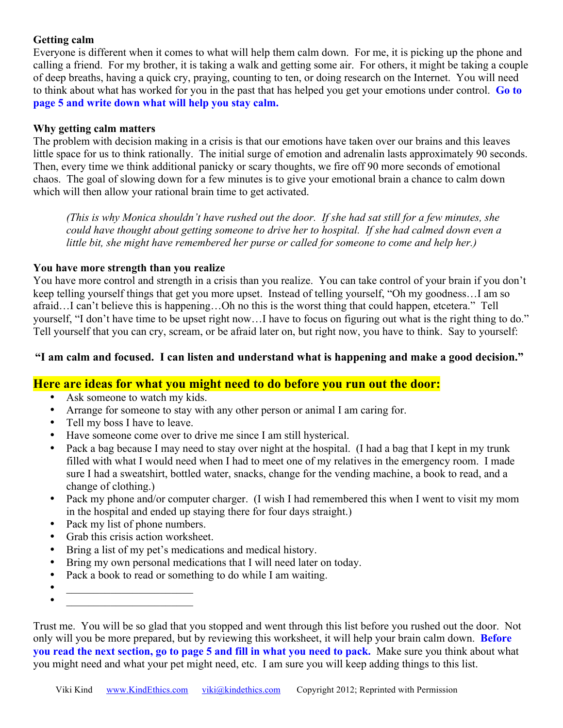## **Getting calm**

Everyone is different when it comes to what will help them calm down. For me, it is picking up the phone and calling a friend. For my brother, it is taking a walk and getting some air. For others, it might be taking a couple of deep breaths, having a quick cry, praying, counting to ten, or doing research on the Internet. You will need to think about what has worked for you in the past that has helped you get your emotions under control. **Go to page 5 and write down what will help you stay calm.**

#### **Why getting calm matters**

The problem with decision making in a crisis is that our emotions have taken over our brains and this leaves little space for us to think rationally. The initial surge of emotion and adrenalin lasts approximately 90 seconds. Then, every time we think additional panicky or scary thoughts, we fire off 90 more seconds of emotional chaos. The goal of slowing down for a few minutes is to give your emotional brain a chance to calm down which will then allow your rational brain time to get activated.

*(This is why Monica shouldn't have rushed out the door. If she had sat still for a few minutes, she could have thought about getting someone to drive her to hospital. If she had calmed down even a little bit, she might have remembered her purse or called for someone to come and help her.)* 

#### **You have more strength than you realize**

You have more control and strength in a crisis than you realize. You can take control of your brain if you don't keep telling yourself things that get you more upset. Instead of telling yourself, "Oh my goodness…I am so afraid…I can't believe this is happening…Oh no this is the worst thing that could happen, etcetera." Tell yourself, "I don't have time to be upset right now…I have to focus on figuring out what is the right thing to do." Tell yourself that you can cry, scream, or be afraid later on, but right now, you have to think. Say to yourself:

#### **"I am calm and focused. I can listen and understand what is happening and make a good decision."**

# **Here are ideas for what you might need to do before you run out the door:**

- Ask someone to watch my kids.
- Arrange for someone to stay with any other person or animal I am caring for.
- Tell my boss I have to leave.
- Have someone come over to drive me since I am still hysterical.
- Pack a bag because I may need to stay over night at the hospital. (I had a bag that I kept in my trunk filled with what I would need when I had to meet one of my relatives in the emergency room. I made sure I had a sweatshirt, bottled water, snacks, change for the vending machine, a book to read, and a change of clothing.)
- Pack my phone and/or computer charger. (I wish I had remembered this when I went to visit my mom in the hospital and ended up staying there for four days straight.)
- Pack my list of phone numbers.
- Grab this crisis action worksheet.
- Bring a list of my pet's medications and medical history.
- Bring my own personal medications that I will need later on today.
- Pack a book to read or something to do while I am waiting.
- $\bullet$   $\qquad$   $\qquad$   $\qquad$   $\qquad$   $\qquad$   $\qquad$   $\qquad$   $\qquad$   $\qquad$   $\qquad$   $\qquad$   $\qquad$   $\qquad$   $\qquad$   $\qquad$   $\qquad$   $\qquad$   $\qquad$   $\qquad$   $\qquad$   $\qquad$   $\qquad$   $\qquad$   $\qquad$   $\qquad$   $\qquad$   $\qquad$   $\qquad$   $\qquad$   $\qquad$   $\qquad$   $\qquad$   $\qquad$   $\qquad$   $\qquad$   $\qquad$
- $\bullet$   $\qquad$   $\qquad$   $\qquad$   $\qquad$   $\qquad$   $\qquad$   $\qquad$   $\qquad$   $\qquad$   $\qquad$   $\qquad$   $\qquad$   $\qquad$   $\qquad$   $\qquad$   $\qquad$   $\qquad$   $\qquad$   $\qquad$   $\qquad$   $\qquad$   $\qquad$   $\qquad$   $\qquad$   $\qquad$   $\qquad$   $\qquad$   $\qquad$   $\qquad$   $\qquad$   $\qquad$   $\qquad$   $\qquad$   $\qquad$   $\qquad$   $\qquad$

Trust me. You will be so glad that you stopped and went through this list before you rushed out the door. Not only will you be more prepared, but by reviewing this worksheet, it will help your brain calm down. **Before you read the next section, go to page 5 and fill in what you need to pack.** Make sure you think about what you might need and what your pet might need, etc. I am sure you will keep adding things to this list.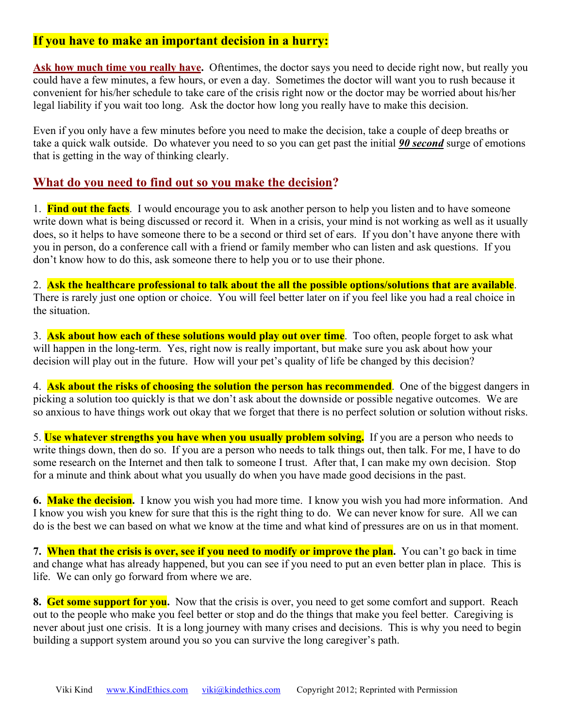# **If you have to make an important decision in a hurry:**

Ask how much time you really have. Oftentimes, the doctor says you need to decide right now, but really you could have a few minutes, a few hours, or even a day. Sometimes the doctor will want you to rush because it convenient for his/her schedule to take care of the crisis right now or the doctor may be worried about his/her legal liability if you wait too long. Ask the doctor how long you really have to make this decision.

Even if you only have a few minutes before you need to make the decision, take a couple of deep breaths or take a quick walk outside. Do whatever you need to so you can get past the initial *90 second* surge of emotions that is getting in the way of thinking clearly.

## **What do you need to find out so you make the decision?**

1. **Find out the facts**. I would encourage you to ask another person to help you listen and to have someone write down what is being discussed or record it. When in a crisis, your mind is not working as well as it usually does, so it helps to have someone there to be a second or third set of ears. If you don't have anyone there with you in person, do a conference call with a friend or family member who can listen and ask questions. If you don't know how to do this, ask someone there to help you or to use their phone.

2. **Ask the healthcare professional to talk about the all the possible options/solutions that are available**. There is rarely just one option or choice. You will feel better later on if you feel like you had a real choice in the situation.

3. **Ask about how each of these solutions would play out over time**. Too often, people forget to ask what will happen in the long-term. Yes, right now is really important, but make sure you ask about how your decision will play out in the future. How will your pet's quality of life be changed by this decision?

4. **Ask about the risks of choosing the solution the person has recommended**. One of the biggest dangers in picking a solution too quickly is that we don't ask about the downside or possible negative outcomes. We are so anxious to have things work out okay that we forget that there is no perfect solution or solution without risks.

5. **Use whatever strengths you have when you usually problem solving.** If you are a person who needs to write things down, then do so. If you are a person who needs to talk things out, then talk. For me, I have to do some research on the Internet and then talk to someone I trust. After that, I can make my own decision. Stop for a minute and think about what you usually do when you have made good decisions in the past.

**6. Make the decision.** I know you wish you had more time. I know you wish you had more information. And I know you wish you knew for sure that this is the right thing to do. We can never know for sure. All we can do is the best we can based on what we know at the time and what kind of pressures are on us in that moment.

**7. When that the crisis is over, see if you need to modify or improve the plan.** You can't go back in time and change what has already happened, but you can see if you need to put an even better plan in place. This is life. We can only go forward from where we are.

**8. Get some support for you.** Now that the crisis is over, you need to get some comfort and support. Reach out to the people who make you feel better or stop and do the things that make you feel better. Caregiving is never about just one crisis. It is a long journey with many crises and decisions. This is why you need to begin building a support system around you so you can survive the long caregiver's path.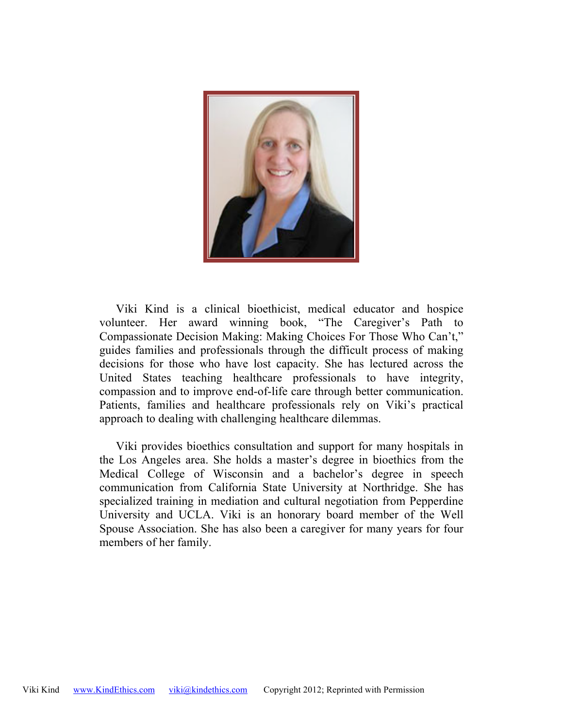

Viki Kind is a clinical bioethicist, medical educator and hospice volunteer. Her award winning book, "The Caregiver's Path to Compassionate Decision Making: Making Choices For Those Who Can't," guides families and professionals through the difficult process of making decisions for those who have lost capacity. She has lectured across the United States teaching healthcare professionals to have integrity, compassion and to improve end-of-life care through better communication. Patients, families and healthcare professionals rely on Viki's practical approach to dealing with challenging healthcare dilemmas.

Viki provides bioethics consultation and support for many hospitals in the Los Angeles area. She holds a master's degree in bioethics from the Medical College of Wisconsin and a bachelor's degree in speech communication from California State University at Northridge. She has specialized training in mediation and cultural negotiation from Pepperdine University and UCLA. Viki is an honorary board member of the Well Spouse Association. She has also been a caregiver for many years for four members of her family.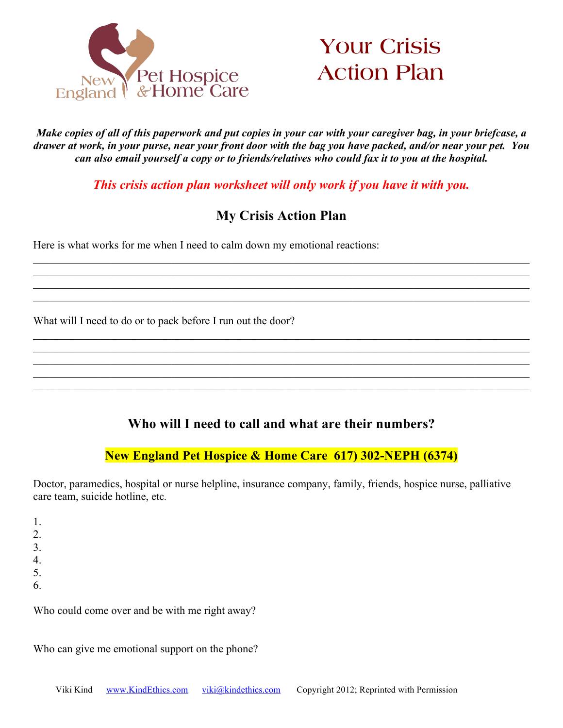



*Make copies of all of this paperwork and put copies in your car with your caregiver bag, in your briefcase, a drawer at work, in your purse, near your front door with the bag you have packed, and/or near your pet. You can also email yourself a copy or to friends/relatives who could fax it to you at the hospital.*

*This crisis action plan worksheet will only work if you have it with you.*

# **My Crisis Action Plan**

 $\_$  , and the contribution of the contribution of the contribution of the contribution of the contribution of  $\mathcal{L}_\text{max}$ 

 $\mathcal{L}_\mathcal{L} = \mathcal{L}_\mathcal{L} = \mathcal{L}_\mathcal{L} = \mathcal{L}_\mathcal{L} = \mathcal{L}_\mathcal{L} = \mathcal{L}_\mathcal{L} = \mathcal{L}_\mathcal{L} = \mathcal{L}_\mathcal{L} = \mathcal{L}_\mathcal{L} = \mathcal{L}_\mathcal{L} = \mathcal{L}_\mathcal{L} = \mathcal{L}_\mathcal{L} = \mathcal{L}_\mathcal{L} = \mathcal{L}_\mathcal{L} = \mathcal{L}_\mathcal{L} = \mathcal{L}_\mathcal{L} = \mathcal{L}_\mathcal{L}$  $\_$  , and the contribution of the contribution of the contribution of the contribution of the contribution of  $\mathcal{L}_\text{max}$ 

 $\_$  , and the contribution of the contribution of the contribution of the contribution of the contribution of  $\mathcal{L}_\text{max}$  $\_$  , and the contribution of the contribution of the contribution of the contribution of the contribution of  $\mathcal{L}_\text{max}$  $\_$  , and the contribution of the contribution of the contribution of the contribution of the contribution of  $\mathcal{L}_\text{max}$ 

Here is what works for me when I need to calm down my emotional reactions:

What will I need to do or to pack before I run out the door?

# **Who will I need to call and what are their numbers?**

 $\_$  , and the contribution of the contribution of the contribution of the contribution of the contribution of  $\mathcal{L}_\text{max}$ 

# **New England Pet Hospice & Home Care 617) 302-NEPH (6374)**

Doctor, paramedics, hospital or nurse helpline, insurance company, family, friends, hospice nurse, palliative care team, suicide hotline, etc*.*

1. 2. 3. 4. 5. 6.

Who could come over and be with me right away?

Who can give me emotional support on the phone?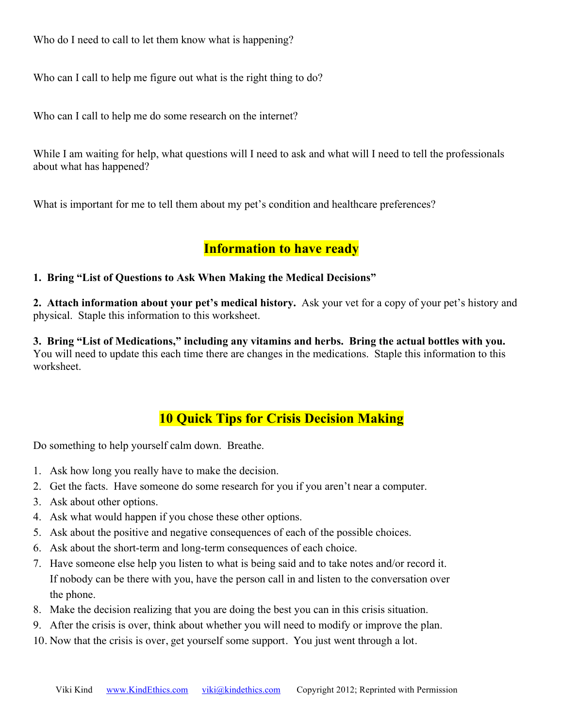Who do I need to call to let them know what is happening?

Who can I call to help me figure out what is the right thing to do?

Who can I call to help me do some research on the internet?

While I am waiting for help, what questions will I need to ask and what will I need to tell the professionals about what has happened?

What is important for me to tell them about my pet's condition and healthcare preferences?

# **Information to have ready**

## **1. Bring "List of Questions to Ask When Making the Medical Decisions"**

**2. Attach information about your pet's medical history.** Ask your vet for a copy of your pet's history and physical. Staple this information to this worksheet.

**3. Bring "List of Medications," including any vitamins and herbs. Bring the actual bottles with you.**  You will need to update this each time there are changes in the medications. Staple this information to this worksheet.

# **10 Quick Tips for Crisis Decision Making**

Do something to help yourself calm down. Breathe.

- 1. Ask how long you really have to make the decision.
- 2. Get the facts. Have someone do some research for you if you aren't near a computer.
- 3. Ask about other options.
- 4. Ask what would happen if you chose these other options.
- 5. Ask about the positive and negative consequences of each of the possible choices.
- 6. Ask about the short-term and long-term consequences of each choice.
- 7. Have someone else help you listen to what is being said and to take notes and/or record it. If nobody can be there with you, have the person call in and listen to the conversation over the phone.
- 8. Make the decision realizing that you are doing the best you can in this crisis situation.
- 9. After the crisis is over, think about whether you will need to modify or improve the plan.
- 10. Now that the crisis is over, get yourself some support. You just went through a lot.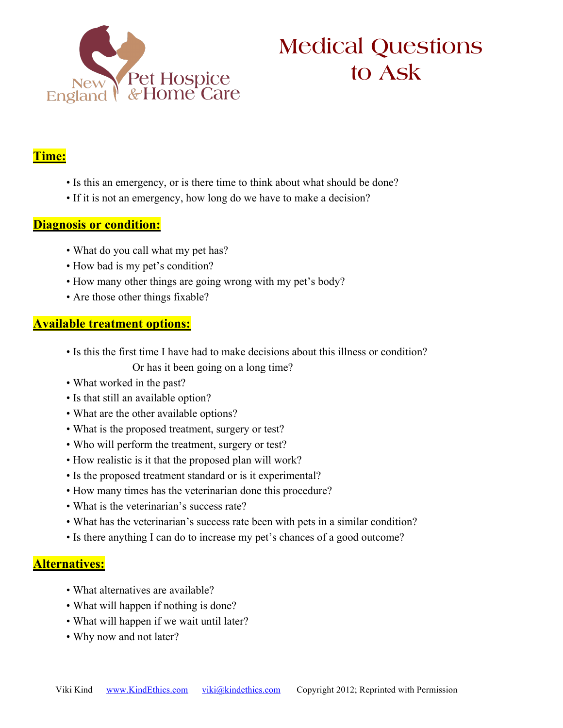

# **Medical Questions to Ask**

# **Time:**

- Is this an emergency, or is there time to think about what should be done?
- If it is not an emergency, how long do we have to make a decision?

# **Diagnosis or condition:**

- What do you call what my pet has?
- How bad is my pet's condition?
- How many other things are going wrong with my pet's body?
- Are those other things fixable?

# **Available treatment options:**

- Is this the first time I have had to make decisions about this illness or condition? Or has it been going on a long time?
- What worked in the past?
- Is that still an available option?
- What are the other available options?
- What is the proposed treatment, surgery or test?
- Who will perform the treatment, surgery or test?
- How realistic is it that the proposed plan will work?
- Is the proposed treatment standard or is it experimental?
- How many times has the veterinarian done this procedure?
- What is the veterinarian's success rate?
- What has the veterinarian's success rate been with pets in a similar condition?
- Is there anything I can do to increase my pet's chances of a good outcome?

# **Alternatives:**

- What alternatives are available?
- What will happen if nothing is done?
- What will happen if we wait until later?
- Why now and not later?